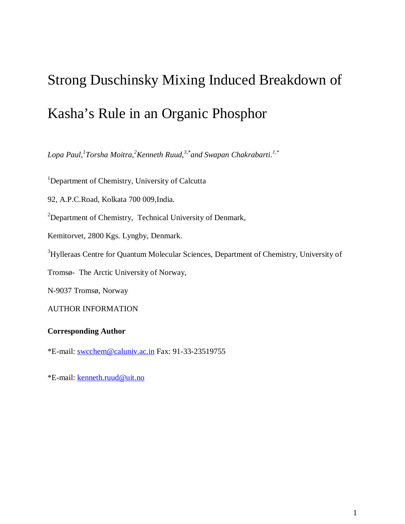# Strong Duschinsky Mixing Induced Breakdown of Kasha's Rule in an Organic Phosphor

*Lopa Paul,<sup>1</sup> Torsha Moitra, <sup>2</sup>Kenneth Ruud, 3,\*and Swapan Chakrabarti. 1,\**

<sup>1</sup>Department of Chemistry, University of Calcutta

92, A.P.C.Road, Kolkata 700 009,India.

<sup>2</sup>Department of Chemistry, Technical University of Denmark,

Kemitorvet, 2800 Kgs. Lyngby, Denmark.

<sup>3</sup>Hylleraas Centre for Quantum Molecular Sciences, Department of Chemistry, University of

Tromsø- The Arctic University of Norway,

N-9037 Tromsø, Norway

AUTHOR INFORMATION

# **Corresponding Author**

\*E-mail: swcchem@caluniv.ac.in Fax: 91-33-23519755

\*E-mail: kenneth.ruud@uit.no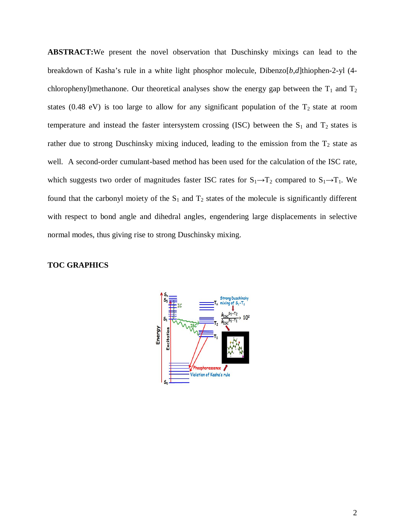**ABSTRACT:**We present the novel observation that Duschinsky mixings can lead to the breakdown of Kasha's rule in a white light phosphor molecule, Dibenzo[*b*,*d*]thiophen-2-yl (4 chlorophenyl)methanone. Our theoretical analyses show the energy gap between the  $T_1$  and  $T_2$ states (0.48 eV) is too large to allow for any significant population of the  $T_2$  state at room temperature and instead the faster intersystem crossing (ISC) between the  $S_1$  and  $T_2$  states is rather due to strong Duschinsky mixing induced, leading to the emission from the  $T_2$  state as well. A second-order cumulant-based method has been used for the calculation of the ISC rate, which suggests two order of magnitudes faster ISC rates for  $S_1 \rightarrow T_2$  compared to  $S_1 \rightarrow T_1$ . We found that the carbonyl moiety of the  $S_1$  and  $T_2$  states of the molecule is significantly different with respect to bond angle and dihedral angles, engendering large displacements in selective normal modes, thus giving rise to strong Duschinsky mixing.

# **TOC GRAPHICS**

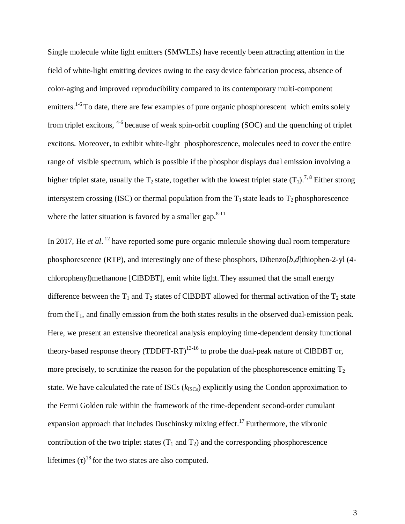Single molecule white light emitters (SMWLEs) have recently been attracting attention in the field of white-light emitting devices owing to the easy device fabrication process, absence of color-aging and improved reproducibility compared to its contemporary multi-component emitters.<sup>1-6</sup> To date, there are few examples of pure organic phosphorescent which emits solely from triplet excitons, <sup>4-6</sup> because of weak spin-orbit coupling (SOC) and the quenching of triplet excitons. Moreover, to exhibit white-light phosphorescence, molecules need to cover the entire range of visible spectrum, which is possible if the phosphor displays dual emission involving a higher triplet state, usually the  $T_2$  state, together with the lowest triplet state  $(T_1)$ .<sup>7,8</sup> Either strong intersystem crossing (ISC) or thermal population from the  $T_1$  state leads to  $T_2$  phosphorescence where the latter situation is favored by a smaller gap. $8-11$ 

In 2017, He *et al*.<sup>12</sup> have reported some pure organic molecule showing dual room temperature phosphorescence (RTP), and interestingly one of these phosphors, Dibenzo[*b*,*d*]thiophen-2-yl (4 chlorophenyl)methanone [ClBDBT], emit white light. They assumed that the small energy difference between the  $T_1$  and  $T_2$  states of CIBDBT allowed for thermal activation of the  $T_2$  state from the $T_1$ , and finally emission from the both states results in the observed dual-emission peak. Here, we present an extensive theoretical analysis employing time-dependent density functional theory-based response theory (TDDFT-RT)<sup>13-16</sup> to probe the dual-peak nature of ClBDBT or, more precisely, to scrutinize the reason for the population of the phosphorescence emitting  $T_2$ state. We have calculated the rate of ISCs  $(k_{\text{ISCs}})$  explicitly using the Condon approximation to the Fermi Golden rule within the framework of the time-dependent second-order cumulant expansion approach that includes Duschinsky mixing effect.<sup>17</sup> Furthermore, the vibronic contribution of the two triplet states  $(T_1 \text{ and } T_2)$  and the corresponding phosphorescence lifetimes  $(\tau)^{18}$  for the two states are also computed.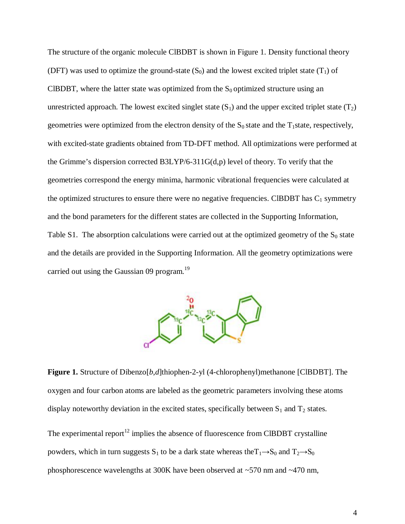The structure of the organic molecule ClBDBT is shown in Figure 1. Density functional theory (DFT) was used to optimize the ground-state  $(S_0)$  and the lowest excited triplet state  $(T_1)$  of CIBDBT, where the latter state was optimized from the  $S_0$  optimized structure using an unrestricted approach. The lowest excited singlet state  $(S_1)$  and the upper excited triplet state  $(T_2)$ geometries were optimized from the electron density of the  $S_0$  state and the T<sub>1</sub>state, respectively, with excited-state gradients obtained from TD-DFT method. All optimizations were performed at the Grimme's dispersion corrected B3LYP/6-311G(d,p) level of theory. To verify that the geometries correspond the energy minima, harmonic vibrational frequencies were calculated at the optimized structures to ensure there were no negative frequencies. CIBDBT has  $C_1$  symmetry and the bond parameters for the different states are collected in the Supporting Information, Table S1. The absorption calculations were carried out at the optimized geometry of the  $S_0$  state and the details are provided in the Supporting Information. All the geometry optimizations were carried out using the Gaussian 09 program.<sup>19</sup>



**Figure 1.** Structure of Dibenzo[*b*,*d*]thiophen-2-yl (4-chlorophenyl)methanone [ClBDBT]. The oxygen and four carbon atoms are labeled as the geometric parameters involving these atoms display noteworthy deviation in the excited states, specifically between  $S_1$  and  $T_2$  states.

The experimental report<sup>12</sup> implies the absence of fluorescence from CIBDBT crystalline powders, which in turn suggests  $S_1$  to be a dark state whereas the  $T_1 \rightarrow S_0$  and  $T_2 \rightarrow S_0$ phosphorescence wavelengths at 300K have been observed at ~570 nm and ~470 nm,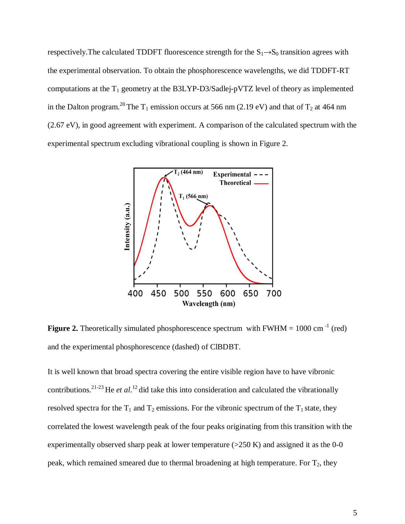respectively. The calculated TDDFT fluorescence strength for the  $S_1 \rightarrow S_0$  transition agrees with the experimental observation. To obtain the phosphorescence wavelengths, we did TDDFT-RT computations at the  $T_1$  geometry at the B3LYP-D3/Sadlej-pVTZ level of theory as implemented in the Dalton program.<sup>20</sup> The T<sub>1</sub> emission occurs at 566 nm (2.19 eV) and that of T<sub>2</sub> at 464 nm (2.67 eV), in good agreement with experiment. A comparison of the calculated spectrum with the experimental spectrum excluding vibrational coupling is shown in Figure 2.



**Figure 2.** Theoretically simulated phosphorescence spectrum with  $FWHM = 1000$  cm<sup>-1</sup> (red) and the experimental phosphorescence (dashed) of ClBDBT.

It is well known that broad spectra covering the entire visible region have to have vibronic contributions. 21-23 He *et al*. 12 did take this into consideration and calculated the vibrationally resolved spectra for the  $T_1$  and  $T_2$  emissions. For the vibronic spectrum of the  $T_1$  state, they correlated the lowest wavelength peak of the four peaks originating from this transition with the experimentally observed sharp peak at lower temperature  $(>250 K)$  and assigned it as the 0-0 peak, which remained smeared due to thermal broadening at high temperature. For  $T_2$ , they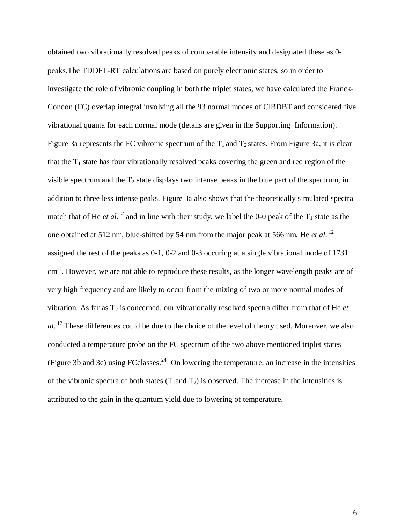obtained two vibrationally resolved peaks of comparable intensity and designated these as 0-1 peaks.The TDDFT-RT calculations are based on purely electronic states, so in order to investigate the role of vibronic coupling in both the triplet states, we have calculated the Franck-Condon (FC) overlap integral involving all the 93 normal modes of ClBDBT and considered five vibrational quanta for each normal mode (details are given in the Supporting Information). Figure 3a represents the FC vibronic spectrum of the  $T_1$  and  $T_2$  states. From Figure 3a, it is clear that the  $T_1$  state has four vibrationally resolved peaks covering the green and red region of the visible spectrum and the  $T_2$  state displays two intense peaks in the blue part of the spectrum, in addition to three less intense peaks. Figure 3a also shows that the theoretically simulated spectra match that of He *et al*.<sup>12</sup> and in line with their study, we label the 0-0 peak of the  $T_1$  state as the one obtained at 512 nm, blue-shifted by 54 nm from the major peak at 566 nm. He *et al.* <sup>12</sup> assigned the rest of the peaks as 0-1, 0-2 and 0-3 occuring at a single vibrational mode of 1731 cm<sup>-1</sup>. However, we are not able to reproduce these results, as the longer wavelength peaks are of very high frequency and are likely to occur from the mixing of two or more normal modes of vibration. As far as T<sup>2</sup> is concerned, our vibrationally resolved spectra differ from that of He *et al*. <sup>12</sup> These differences could be due to the choice of the level of theory used. Moreover, we also conducted a temperature probe on the FC spectrum of the two above mentioned triplet states (Figure 3b and 3c) using FCclasses.<sup>24</sup> On lowering the temperature, an increase in the intensities of the vibronic spectra of both states  $(T_1 \text{ and } T_2)$  is observed. The increase in the intensities is attributed to the gain in the quantum yield due to lowering of temperature.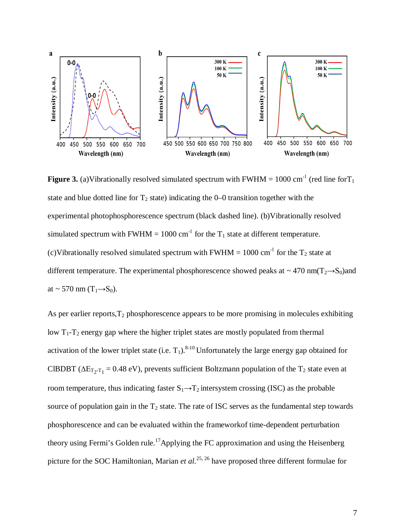

**Figure 3.** (a)Vibrationally resolved simulated spectrum with FWHM =  $1000 \text{ cm}^{-1}$  (red line for T<sub>1</sub>) state and blue dotted line for  $T_2$  state) indicating the 0–0 transition together with the experimental photophosphorescence spectrum (black dashed line). (b)Vibrationally resolved simulated spectrum with FWHM = 1000 cm<sup>-1</sup> for the  $T_1$  state at different temperature. (c)Vibrationally resolved simulated spectrum with FWHM = 1000 cm<sup>-1</sup> for the  $T_2$  state at different temperature. The experimental phosphorescence showed peaks at  $\sim$  470 nm(T<sub>2</sub>→S<sub>0</sub>)and at ~ 570 nm  $(T_1 \rightarrow S_0)$ .

As per earlier reports,  $T_2$  phosphorescence appears to be more promising in molecules exhibiting low  $T_1 - T_2$  energy gap where the higher triplet states are mostly populated from thermal activation of the lower triplet state (i.e.  $T_1$ ).<sup>8-10</sup> Unfortunately the large energy gap obtained for CIBDBT ( $\Delta E_{T_2-T_1}$  = 0.48 eV), prevents sufficient Boltzmann population of the T<sub>2</sub> state even at room temperature, thus indicating faster  $S_1 \rightarrow T_2$  intersystem crossing (ISC) as the probable source of population gain in the  $T_2$  state. The rate of ISC serves as the fundamental step towards phosphorescence and can be evaluated within the frameworkof time-dependent perturbation theory using Fermi's Golden rule.<sup>17</sup> Applying the FC approximation and using the Heisenberg picture for the SOC Hamiltonian, Marian *et al.*<sup>25, 26</sup> have proposed three different formulae for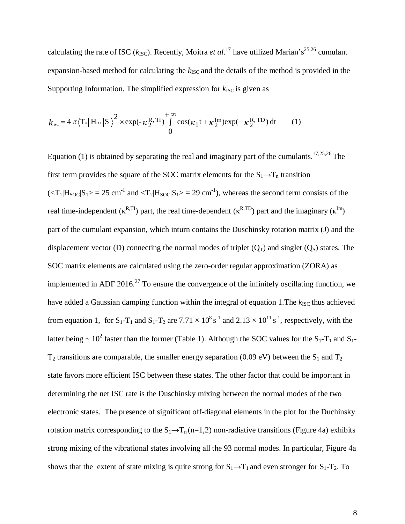calculating the rate of ISC ( $k_{\text{ISC}}$ ). Recently, Moitra *et al*.<sup>17</sup> have utilized Marian's<sup>25,26</sup> cumulant expansion-based method for calculating the  $k_{\text{ISC}}$  and the details of the method is provided in the Supporting Information. The simplified expression for  $k_{\text{ISC}}$  is given as

$$
k_{\rm sc} = 4\pi \left\langle T_{\rm m} \middle| H_{\rm soc} \middle| S_{\rm L} \right\rangle^2 \times \exp(-\kappa \frac{R}{2}, T_{\rm L}) \int_{0}^{+\infty} \cos(\kappa_1 t + \kappa_2^{\rm Im}) \exp(-\kappa \frac{R}{2}, T_{\rm L}) dt \tag{1}
$$

Equation (1) is obtained by separating the real and imaginary part of the cumulants.  $17,25,26$  The first term provides the square of the SOC matrix elements for the  $S_1 \rightarrow T_n$  transition  $(<sub>T</sub><sub>1</sub>|H<sub>SOC</sub>|S<sub>1</sub>> = 25 cm<sup>-1</sup>$  and  $<sub>T</sub><sub>2</sub>|H<sub>SOC</sub>|S<sub>1</sub>> = 29 cm<sup>-1</sup>$ ), whereas the second term consists of the</sub> real time-independent ( $\kappa^{R,TI}$ ) part, the real time-dependent ( $\kappa^{R,TD}$ ) part and the imaginary ( $\kappa^{Im}$ ) part of the cumulant expansion, which inturn contains the Duschinsky rotation matrix (J) and the displacement vector (D) connecting the normal modes of triplet  $(Q_T)$  and singlet  $(Q_S)$  states. The SOC matrix elements are calculated using the zero-order regular approximation (ZORA) as implemented in ADF 2016. $^{27}$  To ensure the convergence of the infinitely oscillating function, we have added a Gaussian damping function within the integral of equation 1. The  $k_{\text{ISC}}$  thus achieved from equation 1, for  $S_1$ -T<sub>1</sub> and  $S_1$ -T<sub>2</sub> are 7.71  $\times$  10<sup>8</sup> s<sup>-1</sup> and 2.13  $\times$  10<sup>11</sup> s<sup>-1</sup>, respectively, with the latter being  $\sim 10^2$  faster than the former (Table 1). Although the SOC values for the S<sub>1</sub>-T<sub>1</sub> and S<sub>1</sub>- $T_2$  transitions are comparable, the smaller energy separation (0.09 eV) between the S<sub>1</sub> and T<sub>2</sub> state favors more efficient ISC between these states. The other factor that could be important in determining the net ISC rate is the Duschinsky mixing between the normal modes of the two electronic states. The presence of significant off-diagonal elements in the plot for the Duchinsky rotation matrix corresponding to the  $S_1 \rightarrow T_n$  (n=1,2) non-radiative transitions (Figure 4a) exhibits strong mixing of the vibrational states involving all the 93 normal modes. In particular, Figure 4a shows that the extent of state mixing is quite strong for  $S_1 \rightarrow T_1$  and even stronger for  $S_1$ -T<sub>2</sub>. To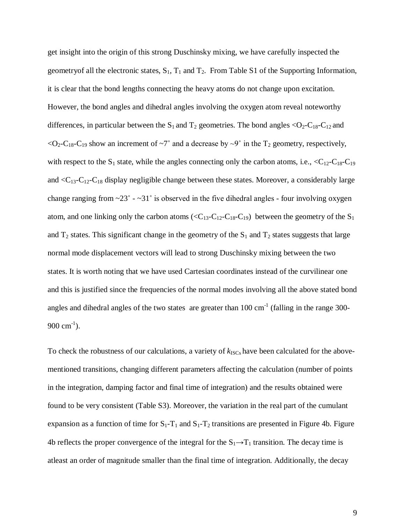get insight into the origin of this strong Duschinsky mixing, we have carefully inspected the geometry of all the electronic states,  $S_1$ ,  $T_1$  and  $T_2$ . From Table S1 of the Supporting Information, it is clear that the bond lengths connecting the heavy atoms do not change upon excitation. However, the bond angles and dihedral angles involving the oxygen atom reveal noteworthy differences, in particular between the  $S_1$  and  $T_2$  geometries. The bond angles <O<sub>2</sub>-C<sub>18</sub>-C<sub>12</sub> and  $<$ O<sub>2</sub>-C<sub>18</sub>-C<sub>19</sub> show an increment of  $\sim$ 7° and a decrease by  $\sim$ 9° in the T<sub>2</sub> geometry, respectively, with respect to the  $S_1$  state, while the angles connecting only the carbon atoms, i.e.,  $\langle C_{12} \cdot C_{18} \cdot C_{19} \rangle$ and  $\langle C_{13}$ - $C_{12}$ - $C_{18}$  display negligible change between these states. Moreover, a considerably large change ranging from  $\sim$ 23° -  $\sim$ 31° is observed in the five dihedral angles - four involving oxygen atom, and one linking only the carbon atoms ( $\langle C_{13} - C_{12} - C_{18} - C_{19} \rangle$  between the geometry of the  $S_1$ and  $T_2$  states. This significant change in the geometry of the  $S_1$  and  $T_2$  states suggests that large normal mode displacement vectors will lead to strong Duschinsky mixing between the two states. It is worth noting that we have used Cartesian coordinates instead of the curvilinear one and this is justified since the frequencies of the normal modes involving all the above stated bond angles and dihedral angles of the two states are greater than  $100 \text{ cm}^{-1}$  (falling in the range 300-900 cm<sup>-1</sup>).

To check the robustness of our calculations, a variety of  $k_{\text{ISCs}}$  have been calculated for the abovementioned transitions, changing different parameters affecting the calculation (number of points in the integration, damping factor and final time of integration) and the results obtained were found to be very consistent (Table S3). Moreover, the variation in the real part of the cumulant expansion as a function of time for  $S_1-T_1$  and  $S_1-T_2$  transitions are presented in Figure 4b. Figure 4b reflects the proper convergence of the integral for the  $S_1 \rightarrow T_1$  transition. The decay time is atleast an order of magnitude smaller than the final time of integration. Additionally, the decay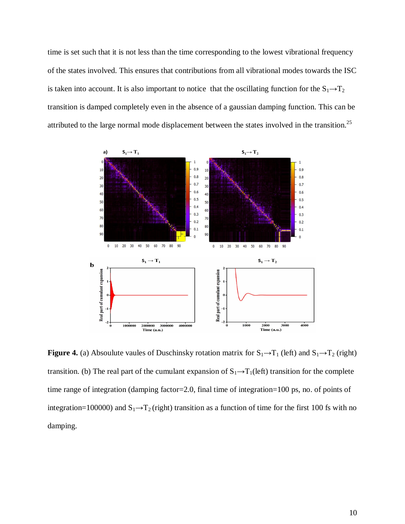time is set such that it is not less than the time corresponding to the lowest vibrational frequency of the states involved. This ensures that contributions from all vibrational modes towards the ISC is taken into account. It is also important to notice that the oscillating function for the  $S_1 \rightarrow T_2$ transition is damped completely even in the absence of a gaussian damping function. This can be attributed to the large normal mode displacement between the states involved in the transition.<sup>25</sup>



**Figure 4.** (a) Absoulute vaules of Duschinsky rotation matrix for  $S_1 \rightarrow T_1$  (left) and  $S_1 \rightarrow T_2$  (right) transition. (b) The real part of the cumulant expansion of  $S_1 \rightarrow T_1(\text{left})$  transition for the complete time range of integration (damping factor=2.0, final time of integration=100 ps, no. of points of integration=100000) and  $S_1 \rightarrow T_2$  (right) transition as a function of time for the first 100 fs with no damping.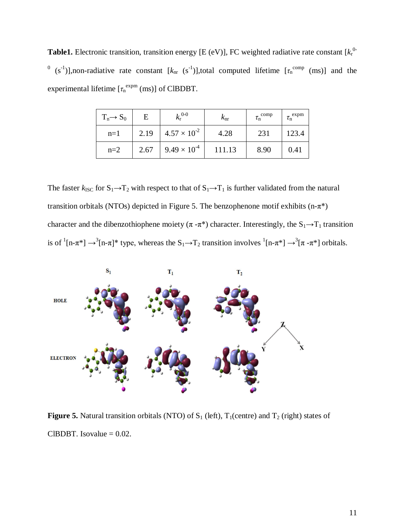**Table1.** Electronic transition, transition energy [E (eV)], FC weighted radiative rate constant [ $k_1^0$ <sup>0</sup> (s<sup>-1</sup>)],non-radiative rate constant [ $k_{nr}$  (s<sup>-1</sup>)],total computed lifetime [ $\tau_n^{\text{comp}}$  (ms)] and the experimental lifetime  $[\tau_n^{expm}(ms)]$  of ClBDBT.

| $T_n \rightarrow S_0$ | E    | $k_{\rm r}^{0-0}$     | $k_{\rm nr}$ | $\tau_{\rm n}^{\rm~comp}$ | $\tau_{\rm n}^{\rm~expm}$ |
|-----------------------|------|-----------------------|--------------|---------------------------|---------------------------|
| $n=1$                 | 2.19 | $4.57 \times 10^{-2}$ | 4.28         | 231                       | 123.4                     |
| $n=2$                 | 2.67 | $9.49 \times 10^{-4}$ | 111.13       | 8.90                      | 0.41                      |

The faster  $k_{\text{ISC}}$  for  $S_1 \rightarrow T_2$  with respect to that of  $S_1 \rightarrow T_1$  is further validated from the natural transition orbitals (NTOs) depicted in Figure 5. The benzophenone motif exhibits (n- $\pi^*$ ) character and the dibenzothiophene moiety ( $\pi - \pi^*$ ) character. Interestingly, the S<sub>1</sub>→T<sub>1</sub> transition is of  ${}^{1}[n-\pi^{*}] \rightarrow {}^{3}[n-\pi]^{*}$  type, whereas the  $S_{1} \rightarrow T_{2}$  transition involves  ${}^{1}[n-\pi^{*}] \rightarrow {}^{3}[\pi - \pi^{*}]$  orbitals.



**Figure 5.** Natural transition orbitals (NTO) of  $S_1$  (left),  $T_1$ (centre) and  $T_2$  (right) states of CIBDBT. Isovalue  $= 0.02$ .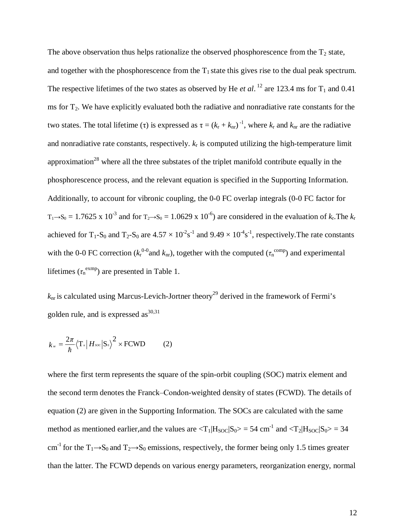The above observation thus helps rationalize the observed phosphorescence from the  $T_2$  state, and together with the phosphorescence from the  $T_1$  state this gives rise to the dual peak spectrum. The respective lifetimes of the two states as observed by He *et al*.<sup>12</sup> are 123.4 ms for  $T_1$  and 0.41 ms for  $T_2$ . We have explicitly evaluated both the radiative and nonradiative rate constants for the two states. The total lifetime (τ) is expressed as  $\tau = (k_r + k_{nr})^{-1}$ , where  $k_r$  and  $k_{nr}$  are the radiative and nonradiative rate constants, respectively.  $k_r$  is computed utilizing the high-temperature limit approximation<sup>28</sup> where all the three substates of the triplet manifold contribute equally in the phosphorescence process, and the relevant equation is specified in the Supporting Information. Additionally, to account for vibronic coupling, the 0-0 FC overlap integrals (0-0 FC factor for  $T_1 \rightarrow S_0 = 1.7625 \times 10^{-3}$  and for  $T_2 \rightarrow S_0 = 1.0629 \times 10^{-6}$ ) are considered in the evaluation of  $k_r$ . The  $k_r$ achieved for T<sub>1</sub>-S<sub>0</sub> and T<sub>2</sub>-S<sub>0</sub> are  $4.57 \times 10^{-2} s^{-1}$  and  $9.49 \times 10^{-4} s^{-1}$ , respectively. The rate constants with the 0-0 FC correction ( $k_r^{\text{0-0}}$  and  $k_{nr}$ ), together with the computed ( $\tau_n^{\text{comp}}$ ) and experimental lifetimes  $(\tau_n^{\text{exmp}})$  are presented in Table 1.

 $k_{\text{nr}}$  is calculated using Marcus-Levich-Jortner theory<sup>29</sup> derived in the framework of Fermi's golden rule, and is expressed  $\text{as}^{30,31}$ 

$$
k_{\rm w} = \frac{2\pi}{\hbar} \langle \mathbf{T}_{\rm n} | H_{soc} | \mathbf{S}_{\rm o} \rangle^2 \times \text{FCWD} \tag{2}
$$

where the first term represents the square of the spin-orbit coupling (SOC) matrix element and the second term denotes the Franck–Condon-weighted density of states (FCWD). The details of equation (2) are given in the Supporting Information. The SOCs are calculated with the same method as mentioned earlier, and the values are  $\langle T_1|H_{SOC}|S_0\rangle = 54$  cm<sup>-1</sup> and  $\langle T_2|H_{SOC}|S_0\rangle = 34$ cm<sup>-1</sup> for the T<sub>1</sub>→S<sub>0</sub> and T<sub>2</sub>→S<sub>0</sub> emissions, respectively, the former being only 1.5 times greater than the latter. The FCWD depends on various energy parameters, reorganization energy, normal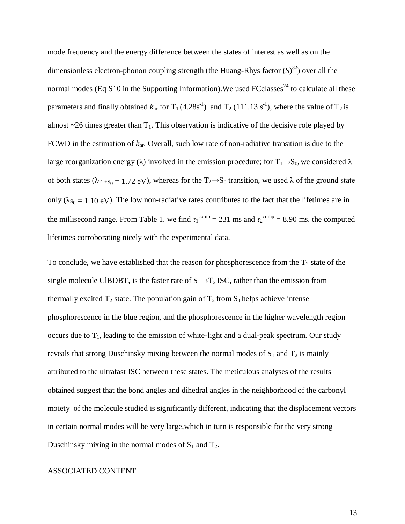mode frequency and the energy difference between the states of interest as well as on the dimensionless electron-phonon coupling strength (the Huang-Rhys factor (*S*) 32 ) over all the normal modes (Eq S10 in the Supporting Information). We used  $F\text{C}$ classes<sup>24</sup> to calculate all these parameters and finally obtained  $k_{nr}$  for  $T_1$  (4.28s<sup>-1</sup>) and  $T_2$  (111.13 s<sup>-1</sup>), where the value of  $T_2$  is almost  $\sim$ 26 times greater than  $T_1$ . This observation is indicative of the decisive role played by FCWD in the estimation of  $k_{\text{nr}}$ . Overall, such low rate of non-radiative transition is due to the large reorganization energy ( $\lambda$ ) involved in the emission procedure; for T<sub>1</sub>→S<sub>0</sub>, we considered  $\lambda$ of both states ( $\lambda_{T_1+S_0} = 1.72$  eV), whereas for the T<sub>2</sub>→S<sub>0</sub> transition, we used  $\lambda$  of the ground state only ( $\lambda_{S_0} = 1.10 \text{ eV}$ ). The low non-radiative rates contributes to the fact that the lifetimes are in the millisecond range. From Table 1, we find  $\tau_1^{\text{comp}} = 231 \text{ ms}$  and  $\tau_2^{\text{comp}} = 8.90 \text{ ms}$ , the computed lifetimes corroborating nicely with the experimental data.

To conclude, we have established that the reason for phosphorescence from the  $T_2$  state of the single molecule CIBDBT, is the faster rate of  $S_1 \rightarrow T_2$  ISC, rather than the emission from thermally excited  $T_2$  state. The population gain of  $T_2$  from  $S_1$  helps achieve intense phosphorescence in the blue region, and the phosphorescence in the higher wavelength region occurs due to  $T_1$ , leading to the emission of white-light and a dual-peak spectrum. Our study reveals that strong Duschinsky mixing between the normal modes of  $S_1$  and  $T_2$  is mainly attributed to the ultrafast ISC between these states. The meticulous analyses of the results obtained suggest that the bond angles and dihedral angles in the neighborhood of the carbonyl moiety of the molecule studied is significantly different, indicating that the displacement vectors in certain normal modes will be very large,which in turn is responsible for the very strong Duschinsky mixing in the normal modes of  $S_1$  and  $T_2$ .

## ASSOCIATED CONTENT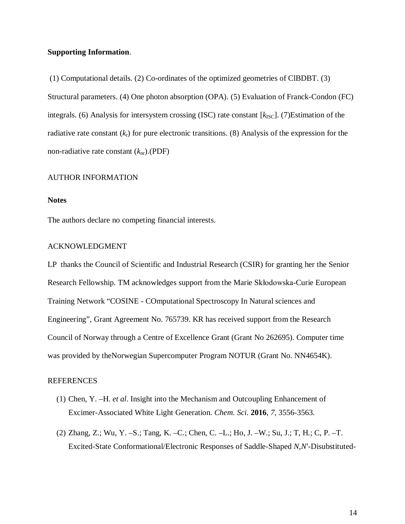### **Supporting Information**.

(1) Computational details. (2) Co-ordinates of the optimized geometries of ClBDBT. (3) Structural parameters. (4) One photon absorption (OPA). (5) Evaluation of Franck-Condon (FC) integrals. (6) Analysis for intersystem crossing (ISC) rate constant [ $k_{\text{ISC}}$ ]. (7)Estimation of the radiative rate constant (*k*r) for pure electronic transitions. (8) Analysis of the expression for the non-radiative rate constant (*k*nr).(PDF)

#### AUTHOR INFORMATION

### **Notes**

The authors declare no competing financial interests.

#### ACKNOWLEDGMENT

LP thanks the Council of Scientific and Industrial Research (CSIR) for granting her the Senior Research Fellowship. TM acknowledges support from the Marie Skłodowska-Curie European Training Network "COSINE - COmputational Spectroscopy In Natural sciences and Engineering", Grant Agreement No. 765739. KR has received support from the Research Council of Norway through a Centre of Excellence Grant (Grant No 262695). Computer time was provided by theNorwegian Supercomputer Program NOTUR (Grant No. NN4654K).

#### REFERENCES

- (1) Chen, Y. –H. *et al*. Insight into the Mechanism and Outcoupling Enhancement of Excimer-Associated White Light Generation. *Chem. Sci.* **2016**, *7*, 3556-3563.
- (2) Zhang, Z.; Wu, Y. –S.; Tang, K. –C.; Chen, C. –L.; Ho, J. –W.; Su, J.; T, H.; C, P. –T. Excited-State Conformational/Electronic Responses of Saddle-Shaped *N*,*N*′-Disubstituted-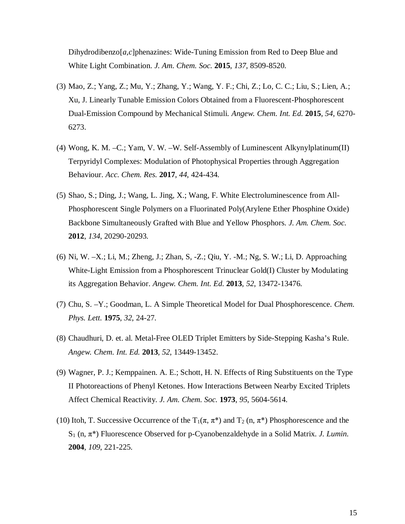Dihydrodibenzo[*a*,*c*]phenazines: Wide-Tuning Emission from Red to Deep Blue and White Light Combination. *J. Am. Chem. Soc.* **2015**, *137*, 8509-8520.

- (3) Mao, Z.; Yang, Z.; Mu, Y.; Zhang, Y.; Wang, Y. F.; Chi, Z.; Lo, C. C.; Liu, S.; Lien, A.; Xu, J. Linearly Tunable Emission Colors Obtained from a Fluorescent-Phosphorescent Dual-Emission Compound by Mechanical Stimuli. *Angew. Chem. Int. Ed.* **2015**, *54*, 6270- 6273.
- (4) Wong, K. M. –C.; Yam, V. W. –W. Self-Assembly of Luminescent Alkynylplatinum(II) Terpyridyl Complexes: Modulation of Photophysical Properties through Aggregation Behaviour. *Acc. Chem. Res.* **2017**, *44*, 424-434.
- (5) Shao, S.; Ding, J.; Wang, L. Jing, X.; Wang, F. White Electroluminescence from All-Phosphorescent Single Polymers on a Fluorinated Poly(Arylene Ether Phosphine Oxide) Backbone Simultaneously Grafted with Blue and Yellow Phosphors. *J. Am. Chem. Soc.* **2012**, *134*, 20290-20293.
- (6) Ni, W. –X.; Li, M.; Zheng, J.; Zhan, S, -Z.; Qiu, Y. -M.; Ng, S. W.; Li, D. Approaching White-Light Emission from a Phosphorescent Trinuclear Gold(I) Cluster by Modulating its Aggregation Behavior. *Angew. Chem. Int. Ed.* **2013**, *52*, 13472-13476.
- (7) Chu, S. –Y.; Goodman, L. A Simple Theoretical Model for Dual Phosphorescence. *Chem. Phys. Lett.* **1975**, *32*, 24-27.
- (8) Chaudhuri, D. et. al. Metal-Free OLED Triplet Emitters by Side-Stepping Kasha's Rule. *Angew. Chem. Int. Ed.* **2013**, *52*, 13449-13452.
- (9) Wagner, P. J.; Kemppainen. A. E.; Schott, H. N. Effects of Ring Substituents on the Type II Photoreactions of Phenyl Ketones. How Interactions Between Nearby Excited Triplets Affect Chemical Reactivity. *J. Am. Chem. Soc.* **1973**, *95*, 5604-5614.
- (10) Itoh, T. Successive Occurrence of the  $T_1(\pi, \pi^*)$  and  $T_2(n, \pi^*)$  Phosphorescence and the S<sup>1</sup> (n, π\*) Fluorescence Observed for p-Cyanobenzaldehyde in a Solid Matrix. *J. Lumin.* **2004**, *109*, 221-225.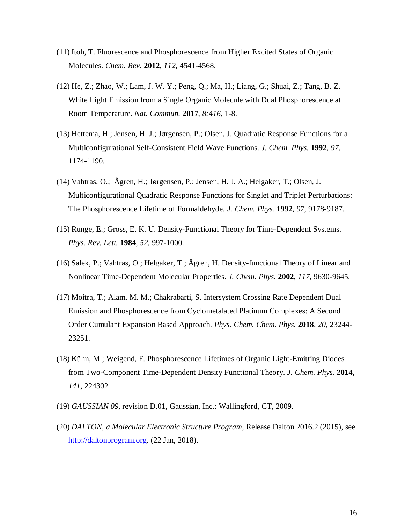- (11) Itoh, T. Fluorescence and Phosphorescence from Higher Excited States of Organic Molecules. *Chem. Rev.* **2012**, *112*, 4541-4568.
- (12) He, Z.; Zhao, W.; Lam, J. W. Y.; Peng, Q.; Ma, H.; Liang, G.; Shuai, Z.; Tang, B. Z. White Light Emission from a Single Organic Molecule with Dual Phosphorescence at Room Temperature. *Nat. Commun.* **2017**, *8:416*, 1-8.
- (13) Hettema, H.; Jensen, H. J.; Jørgensen, P.; Olsen, J. Quadratic Response Functions for a Multiconfigurational Self-Consistent Field Wave Functions. *J. Chem. Phys.* **1992**, *97*, 1174-1190.
- (14) Vahtras, O.; Ågren, H.; Jørgensen, P.; Jensen, H. J. A.; Helgaker, T.; Olsen, J. Multiconfigurational Quadratic Response Functions for Singlet and Triplet Perturbations: The Phosphorescence Lifetime of Formaldehyde. *J. Chem. Phys.* **1992**, *97*, 9178-9187.
- (15) Runge, E.; Gross, E. K. U. Density-Functional Theory for Time-Dependent Systems. *Phys. Rev. Lett.* **1984**, *52*, 997-1000.
- (16) Salek, P.; Vahtras, O.; Helgaker, T.; Ågren, H. Density-functional Theory of Linear and Nonlinear Time-Dependent Molecular Properties. *J. Chem. Phys.* **2002**, *117*, 9630-9645.
- (17) Moitra, T.; Alam. M. M.; Chakrabarti, S. Intersystem Crossing Rate Dependent Dual Emission and Phosphorescence from Cyclometalated Platinum Complexes: A Second Order Cumulant Expansion Based Approach. *Phys. Chem. Chem. Phys.* **2018**, *20*, 23244- 23251.
- (18) Kühn, M.; Weigend, F. Phosphorescence Lifetimes of Organic Light-Emitting Diodes from Two-Component Time-Dependent Density Functional Theory. *J. Chem. Phys.* **2014**, *141*, 224302.
- (19) *GAUSSIAN 09*, revision D.01, Gaussian, Inc.: Wallingford, CT, 2009.
- (20) *DALTON, a Molecular Electronic Structure Program,* Release Dalton 2016.2 (2015), see http://daltonprogram.org. (22 Jan, 2018).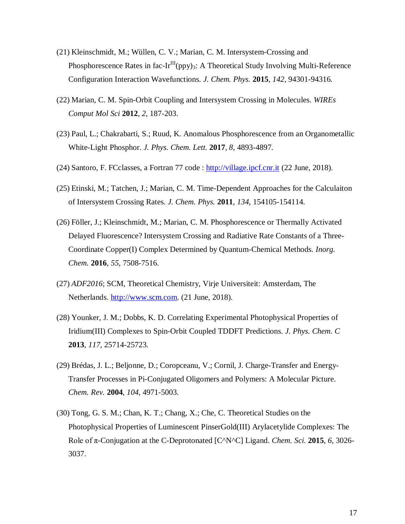- (21) Kleinschmidt, M.; Wüllen, C. V.; Marian, C. M. Intersystem-Crossing and Phosphorescence Rates in fac-Ir<sup>III</sup>(ppy)<sub>3</sub>: A Theoretical Study Involving Multi-Reference Configuration Interaction Wavefunctions. *J. Chem. Phys.* **2015**, *142*, 94301-94316.
- (22) Marian, C. M. Spin-Orbit Coupling and Intersystem Crossing in Molecules. *WIREs Comput Mol Sci* **2012**, *2*, 187-203.
- (23) Paul, L.; Chakrabarti, S.; Ruud, K. Anomalous Phosphorescence from an Organometallic White-Light Phosphor. *J. Phys. Chem. Lett.* **2017**, *8*, 4893-4897.
- (24) Santoro, F. FCclasses, a Fortran 77 code : http://village.ipcf.cnr.it (22 June, 2018).
- (25) Etinski, M.; Tatchen, J.; Marian, C. M. Time-Dependent Approaches for the Calculaiton of Intersystem Crossing Rates. *J. Chem. Phys.* **2011**, *134*, 154105-154114.
- (26) Föller, J.; Kleinschmidt, M.; Marian, C. M. Phosphorescence or Thermally Activated Delayed Fluorescence? Intersystem Crossing and Radiative Rate Constants of a Three-Coordinate Copper(I) Complex Determined by Quantum-Chemical Methods. *Inorg. Chem.* **2016**, *55*, 7508-7516.
- (27) *ADF2016*; SCM, Theoretical Chemistry, Virje Universiteit: Amsterdam, The Netherlands. http://www.scm.com. (21 June, 2018).
- (28) Younker, J. M.; Dobbs, K. D. Correlating Experimental Photophysical Properties of Iridium(III) Complexes to Spin-Orbit Coupled TDDFT Predictions. *J. Phys. Chem. C* **2013**, *117*, 25714-25723.
- (29) Brédas, J. L.; Beljonne, D.; Coropceanu, V.; Cornil, J. Charge-Transfer and Energy-Transfer Processes in Pi-Conjugated Oligomers and Polymers: A Molecular Picture. *Chem. Rev.* **2004**, *104*, 4971-5003.
- (30) Tong, G. S. M.; Chan, K. T.; Chang, X.; Che, C. Theoretical Studies on the Photophysical Properties of Luminescent PinserGold(III) Arylacetylide Complexes: The Role of π-Conjugation at the C-Deprotonated [C^N^C] Ligand. *Chem. Sci.* **2015**, *6*, 3026- 3037.